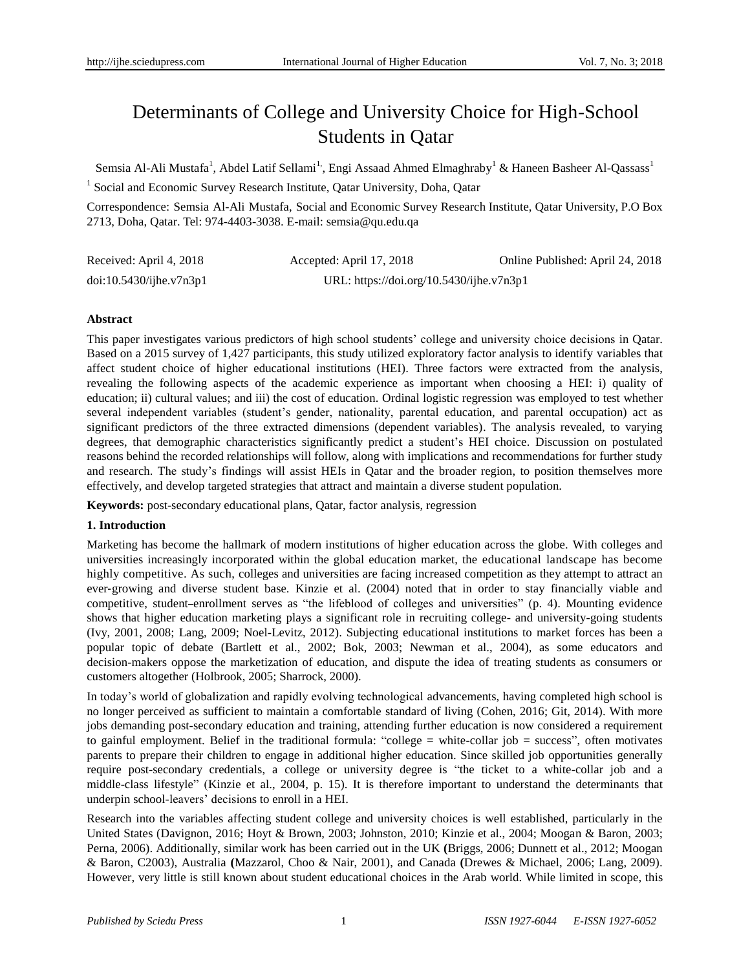# Determinants of College and University Choice for High-School Students in Qatar

Semsia Al-Ali Mustafa<sup>1</sup>, Abdel Latif Sellami<sup>1,</sup>, Engi Assaad Ahmed Elmaghraby<sup>1</sup> & Haneen Basheer Al-Qassass<sup>1</sup>

<sup>1</sup> Social and Economic Survey Research Institute, Qatar University, Doha, Qatar

Correspondence: Semsia Al-Ali Mustafa, Social and Economic Survey Research Institute, Qatar University, P.O Box 2713, Doha, Qatar. Tel: 974-4403-3038. E-mail: semsia@qu.edu.qa

| Received: April 4, 2018 | Accepted: April 17, 2018                 | Online Published: April 24, 2018 |
|-------------------------|------------------------------------------|----------------------------------|
| doi:10.5430/ijhe.v7n3p1 | URL: https://doi.org/10.5430/ijhe.v7n3p1 |                                  |

## **Abstract**

This paper investigates various predictors of high school students' college and university choice decisions in Qatar. Based on a 2015 survey of 1,427 participants, this study utilized exploratory factor analysis to identify variables that affect student choice of higher educational institutions (HEI). Three factors were extracted from the analysis, revealing the following aspects of the academic experience as important when choosing a HEI: i) quality of education; ii) cultural values; and iii) the cost of education. Ordinal logistic regression was employed to test whether several independent variables (student's gender, nationality, parental education, and parental occupation) act as significant predictors of the three extracted dimensions (dependent variables). The analysis revealed, to varying degrees, that demographic characteristics significantly predict a student's HEI choice. Discussion on postulated reasons behind the recorded relationships will follow, along with implications and recommendations for further study and research. The study's findings will assist HEIs in Qatar and the broader region, to position themselves more effectively, and develop targeted strategies that attract and maintain a diverse student population.

**Keywords:** post-secondary educational plans, Qatar, factor analysis, regression

## **1. Introduction**

Marketing has become the hallmark of modern institutions of higher education across the globe. With colleges and universities increasingly incorporated within the global education market, the educational landscape has become highly competitive. As such, colleges and universities are facing increased competition as they attempt to attract an ever‐growing and diverse student base. Kinzie et al. (2004) noted that in order to stay financially viable and competitive, student enrollment serves as "the lifeblood of colleges and universities" (p. 4). Mounting evidence shows that higher education marketing plays a significant role in recruiting college- and university-going students (Ivy, 2001, 2008; Lang, 2009; Noel-Levitz, 2012). Subjecting educational institutions to market forces has been a popular topic of debate (Bartlett et al., 2002; Bok, 2003; Newman et al., 2004), as some educators and decision-makers oppose the marketization of education, and dispute the idea of treating students as consumers or customers altogether (Holbrook, 2005; Sharrock, 2000).

In today's world of globalization and rapidly evolving technological advancements, having completed high school is no longer perceived as sufficient to maintain a comfortable standard of living (Cohen, 2016; Git, 2014). With more jobs demanding post-secondary education and training, attending further education is now considered a requirement to gainful employment. Belief in the traditional formula: "college = white-collar job = success", often motivates parents to prepare their children to engage in additional higher education. Since skilled job opportunities generally require post-secondary credentials, a college or university degree is "the ticket to a white-collar job and a middle-class lifestyle" (Kinzie et al., 2004, p. 15). It is therefore important to understand the determinants that underpin school-leavers' decisions to enroll in a HEI.

Research into the variables affecting student college and university choices is well established, particularly in the United States (Davignon, 2016; Hoyt & Brown, 2003; Johnston, 2010; Kinzie et al., 2004; Moogan & Baron, 2003; Perna, 2006). Additionally, similar work has been carried out in the UK **(**Briggs, 2006; Dunnett et al., 2012; Moogan & Baron, C2003), Australia **(**Mazzarol, Choo & Nair, 2001), and Canada **(**Drewes & Michael, 2006; Lang, 2009). However, very little is still known about student educational choices in the Arab world. While limited in scope, this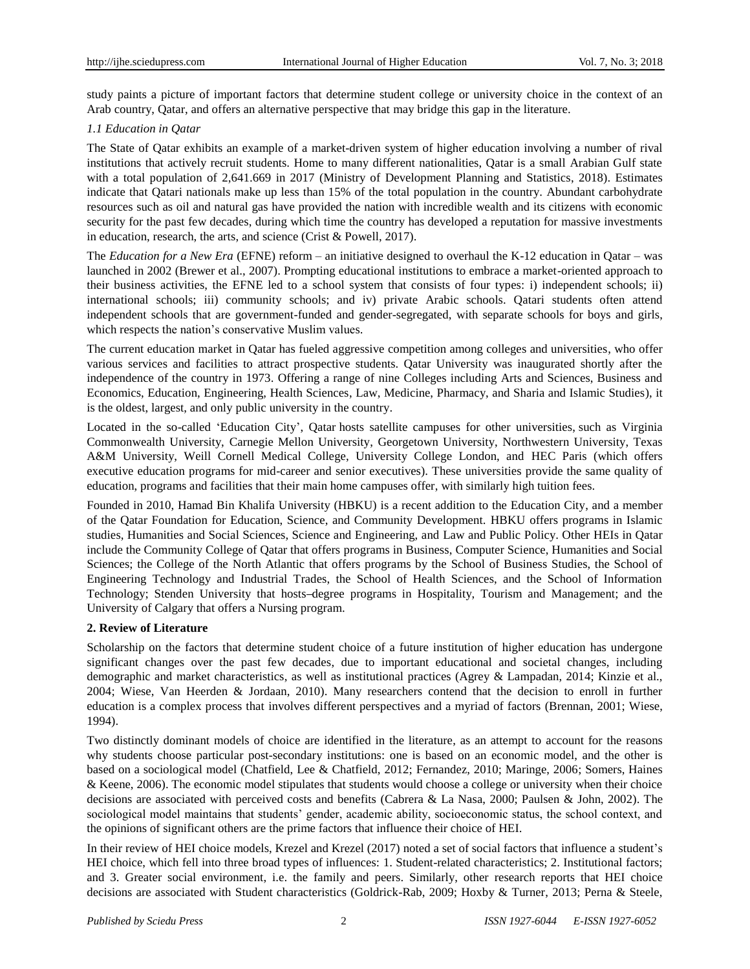study paints a picture of important factors that determine student college or university choice in the context of an Arab country, Qatar, and offers an alternative perspective that may bridge this gap in the literature.

## *1.1 Education in Qatar*

The State of Qatar exhibits an example of a market-driven system of higher education involving a number of rival institutions that actively recruit students. Home to many different nationalities, Qatar is a small Arabian Gulf state with a total population of 2,641.669 in 2017 (Ministry of Development Planning and Statistics, 2018). Estimates indicate that Qatari nationals make up less than 15% of the total population in the country. Abundant carbohydrate resources such as oil and natural gas have provided the nation with incredible wealth and its citizens with economic security for the past few decades, during which time the country has developed a reputation for massive investments in education, research, the arts, and science (Crist & Powell, 2017).

The *Education for a New Era* (EFNE) reform – an initiative designed to overhaul the K-12 education in Qatar – was launched in 2002 (Brewer et al., 2007). Prompting educational institutions to embrace a market-oriented approach to their business activities, the EFNE led to a school system that consists of four types: i) independent schools; ii) international schools; iii) community schools; and iv) private Arabic schools. Qatari students often attend independent schools that are government-funded and gender-segregated, with separate schools for boys and girls, which respects the nation's conservative Muslim values.

The current education market in Qatar has fueled aggressive competition among colleges and universities, who offer various services and facilities to attract prospective students. Qatar University was inaugurated shortly after the independence of the country in 1973. Offering a range of nine Colleges including Arts and Sciences, Business and Economics, Education, Engineering, Health Sciences, Law, Medicine, Pharmacy, and Sharia and Islamic Studies), it is the oldest, largest, and only public university in the country.

Located in the so-called 'Education City', Qatar hosts satellite campuses for other universities, such as Virginia Commonwealth University, Carnegie Mellon University, Georgetown University, Northwestern University, Texas A&M University, Weill Cornell Medical College, University College London, and HEC Paris (which offers executive education programs for mid-career and senior executives). These universities provide the same quality of education, programs and facilities that their main home campuses offer, with similarly high tuition fees.

Founded in 2010, Hamad Bin Khalifa University (HBKU) is a recent addition to the Education City, and a member of the Qatar Foundation for Education, Science, and Community Development. HBKU offers programs in Islamic studies, Humanities and Social Sciences, Science and Engineering, and Law and Public Policy. Other HEIs in Qatar include the Community College of Qatar that offers programs in Business, Computer Science, Humanities and Social Sciences; the College of the North Atlantic that offers programs by the School of Business Studies, the School of Engineering Technology and Industrial Trades, the School of Health Sciences, and the School of Information Technology; Stenden University that hosts-degree programs in Hospitality, Tourism and Management; and the University of Calgary that offers a Nursing program.

# **2. Review of Literature**

Scholarship on the factors that determine student choice of a future institution of higher education has undergone significant changes over the past few decades, due to important educational and societal changes, including demographic and market characteristics, as well as institutional practices (Agrey & Lampadan, 2014; Kinzie et al., 2004; Wiese, Van Heerden & Jordaan, 2010). Many researchers contend that the decision to enroll in further education is a complex process that involves different perspectives and a myriad of factors (Brennan, 2001; Wiese, 1994).

Two distinctly dominant models of choice are identified in the literature, as an attempt to account for the reasons why students choose particular post-secondary institutions: one is based on an economic model, and the other is based on a sociological model (Chatfield, Lee & Chatfield, 2012; Fernandez, 2010; Maringe, 2006; Somers, Haines & Keene, 2006). The economic model stipulates that students would choose a college or university when their choice decisions are associated with perceived costs and benefits (Cabrera & La Nasa, 2000; Paulsen & John, 2002). The sociological model maintains that students' gender, academic ability, socioeconomic status, the school context, and the opinions of significant others are the prime factors that influence their choice of HEI.

In their review of HEI choice models, Krezel and Krezel (2017) noted a set of social factors that influence a student's HEI choice, which fell into three broad types of influences: 1. Student-related characteristics; 2. Institutional factors; and 3. Greater social environment, i.e. the family and peers. Similarly, other research reports that HEI choice decisions are associated with Student characteristics (Goldrick-Rab, 2009; Hoxby & Turner, 2013; Perna & Steele,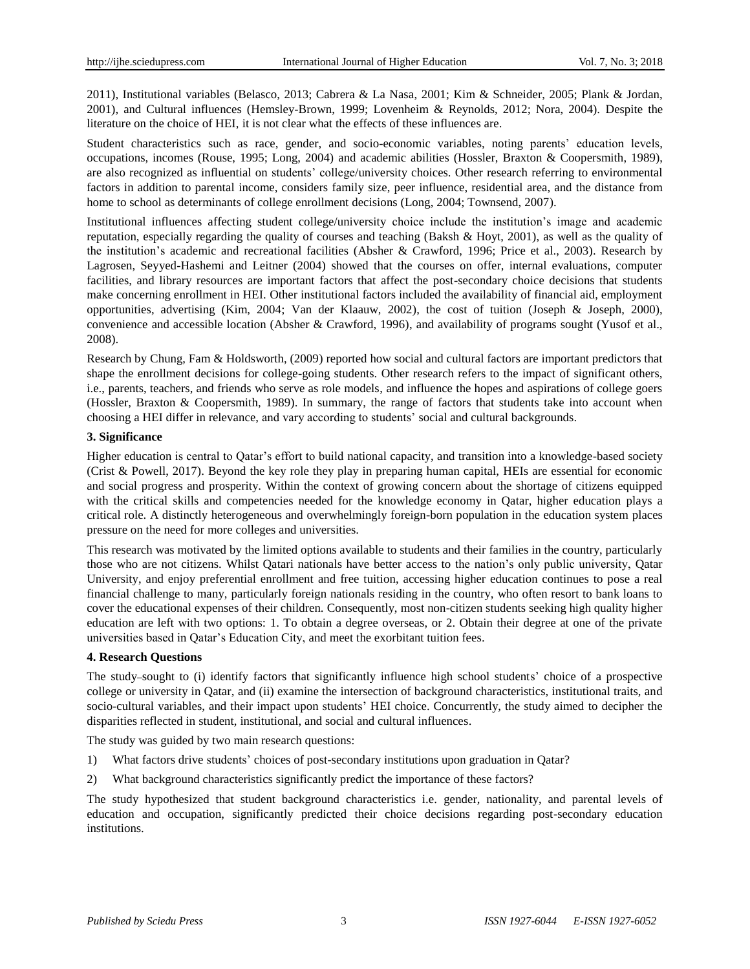2011), Institutional variables (Belasco, 2013; Cabrera & La Nasa, 2001; Kim & Schneider, 2005; Plank & Jordan, 2001), and Cultural influences (Hemsley-Brown, 1999; Lovenheim & Reynolds, 2012; Nora, 2004). Despite the literature on the choice of HEI, it is not clear what the effects of these influences are.

Student characteristics such as race, gender, and socio-economic variables, noting parents' education levels, occupations, incomes (Rouse, 1995; Long, 2004) and academic abilities (Hossler, Braxton & Coopersmith, 1989), are also recognized as influential on students' college/university choices. Other research referring to environmental factors in addition to parental income, considers family size, peer influence, residential area, and the distance from home to school as determinants of college enrollment decisions (Long, 2004; Townsend, 2007).

Institutional influences affecting student college/university choice include the institution's image and academic reputation, especially regarding the quality of courses and teaching (Baksh & Hoyt, 2001), as well as the quality of the institution's academic and recreational facilities (Absher & Crawford, 1996; Price et al., 2003). Research by Lagrosen, Seyyed-Hashemi and Leitner (2004) showed that the courses on offer, internal evaluations, computer facilities, and library resources are important factors that affect the post-secondary choice decisions that students make concerning enrollment in HEI. Other institutional factors included the availability of financial aid, employment opportunities, advertising (Kim, 2004; Van der Klaauw, 2002), the cost of tuition (Joseph & Joseph, 2000), convenience and accessible location (Absher & Crawford, 1996), and availability of programs sought (Yusof et al., 2008).

Research by Chung, Fam & Holdsworth, (2009) reported how social and cultural factors are important predictors that shape the enrollment decisions for college-going students. Other research refers to the impact of significant others, i.e., parents, teachers, and friends who serve as role models, and influence the hopes and aspirations of college goers (Hossler, Braxton & Coopersmith, 1989). In summary, the range of factors that students take into account when choosing a HEI differ in relevance, and vary according to students' social and cultural backgrounds.

## **3. Significance**

Higher education is central to Qatar's effort to build national capacity, and transition into a knowledge-based society (Crist & Powell, 2017). Beyond the key role they play in preparing human capital, HEIs are essential for economic and social progress and prosperity. Within the context of growing concern about the shortage of citizens equipped with the critical skills and competencies needed for the knowledge economy in Qatar, higher education plays a critical role. A distinctly heterogeneous and overwhelmingly foreign-born population in the education system places pressure on the need for more colleges and universities.

This research was motivated by the limited options available to students and their families in the country, particularly those who are not citizens. Whilst Qatari nationals have better access to the nation's only public university, Qatar University, and enjoy preferential enrollment and free tuition, accessing higher education continues to pose a real financial challenge to many, particularly foreign nationals residing in the country, who often resort to bank loans to cover the educational expenses of their children. Consequently, most non-citizen students seeking high quality higher education are left with two options: 1. To obtain a degree overseas, or 2. Obtain their degree at one of the private universities based in Qatar's Education City, and meet the exorbitant tuition fees.

## **4. Research Questions**

The study sought to (i) identify factors that significantly influence high school students' choice of a prospective college or university in Qatar, and (ii) examine the intersection of background characteristics, institutional traits, and socio-cultural variables, and their impact upon students' HEI choice. Concurrently, the study aimed to decipher the disparities reflected in student, institutional, and social and cultural influences.

The study was guided by two main research questions:

- 1) What factors drive students' choices of post-secondary institutions upon graduation in Qatar?
- 2) What background characteristics significantly predict the importance of these factors?

The study hypothesized that student background characteristics i.e. gender, nationality, and parental levels of education and occupation, significantly predicted their choice decisions regarding post-secondary education institutions.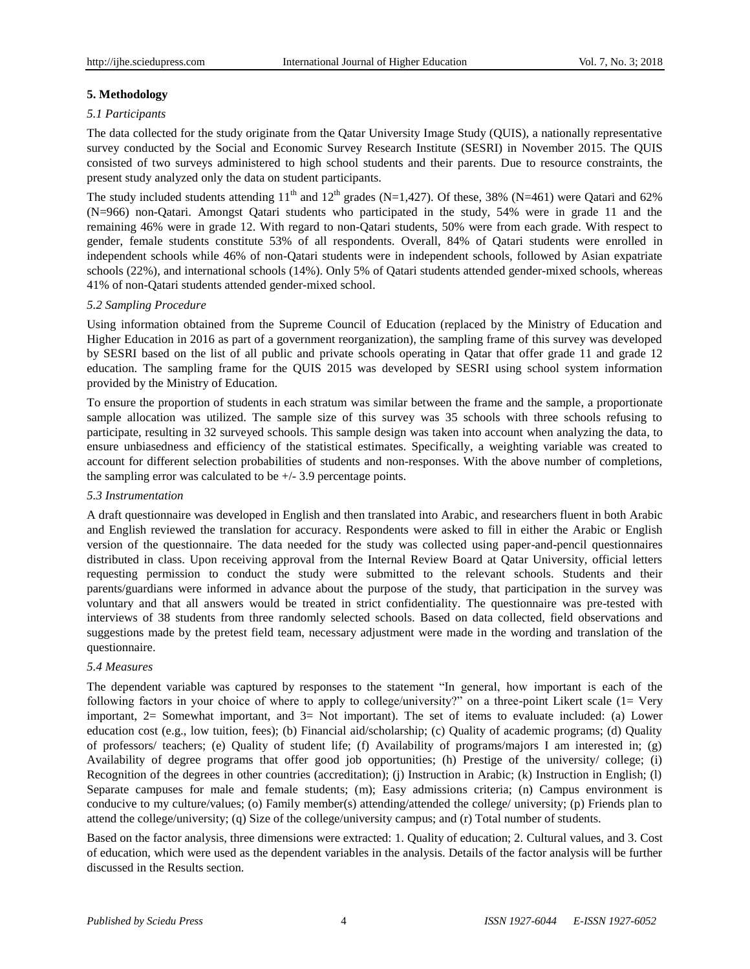## **5. Methodology**

## *5.1 Participants*

The data collected for the study originate from the Qatar University Image Study (QUIS), a nationally representative survey conducted by the Social and Economic Survey Research Institute (SESRI) in November 2015. The QUIS consisted of two surveys administered to high school students and their parents. Due to resource constraints, the present study analyzed only the data on student participants.

The study included students attending  $11<sup>th</sup>$  and  $12<sup>th</sup>$  grades (N=1,427). Of these, 38% (N=461) were Qatari and 62% (N=966) non-Qatari. Amongst Qatari students who participated in the study, 54% were in grade 11 and the remaining 46% were in grade 12. With regard to non-Qatari students, 50% were from each grade. With respect to gender, female students constitute 53% of all respondents. Overall, 84% of Qatari students were enrolled in independent schools while 46% of non-Qatari students were in independent schools, followed by Asian expatriate schools (22%), and international schools (14%). Only 5% of Qatari students attended gender-mixed schools, whereas 41% of non-Qatari students attended gender-mixed school.

# *5.2 Sampling Procedure*

Using information obtained from the Supreme Council of Education (replaced by the Ministry of Education and Higher Education in 2016 as part of a government reorganization), the sampling frame of this survey was developed by SESRI based on the list of all public and private schools operating in Qatar that offer grade 11 and grade 12 education. The sampling frame for the QUIS 2015 was developed by SESRI using school system information provided by the Ministry of Education.

To ensure the proportion of students in each stratum was similar between the frame and the sample, a proportionate sample allocation was utilized. The sample size of this survey was 35 schools with three schools refusing to participate, resulting in 32 surveyed schools. This sample design was taken into account when analyzing the data, to ensure unbiasedness and efficiency of the statistical estimates. Specifically, a weighting variable was created to account for different selection probabilities of students and non-responses. With the above number of completions, the sampling error was calculated to be  $+/- 3.9$  percentage points.

## *5.3 Instrumentation*

A draft questionnaire was developed in English and then translated into Arabic, and researchers fluent in both Arabic and English reviewed the translation for accuracy. Respondents were asked to fill in either the Arabic or English version of the questionnaire. The data needed for the study was collected using paper-and-pencil questionnaires distributed in class. Upon receiving approval from the Internal Review Board at Qatar University, official letters requesting permission to conduct the study were submitted to the relevant schools. Students and their parents/guardians were informed in advance about the purpose of the study, that participation in the survey was voluntary and that all answers would be treated in strict confidentiality. The questionnaire was pre-tested with interviews of 38 students from three randomly selected schools. Based on data collected, field observations and suggestions made by the pretest field team, necessary adjustment were made in the wording and translation of the questionnaire.

## *5.4 Measures*

The dependent variable was captured by responses to the statement "In general, how important is each of the following factors in your choice of where to apply to college/university?" on a three-point Likert scale (1= Very important, 2= Somewhat important, and 3= Not important). The set of items to evaluate included: (a) Lower education cost (e.g., low tuition, fees); (b) Financial aid/scholarship; (c) Quality of academic programs; (d) Quality of professors/ teachers; (e) Quality of student life; (f) Availability of programs/majors I am interested in; (g) Availability of degree programs that offer good job opportunities; (h) Prestige of the university/ college; (i) Recognition of the degrees in other countries (accreditation); (j) Instruction in Arabic; (k) Instruction in English; (l) Separate campuses for male and female students; (m); Easy admissions criteria; (n) Campus environment is conducive to my culture/values; (o) Family member(s) attending/attended the college/ university; (p) Friends plan to attend the college/university; (q) Size of the college/university campus; and (r) Total number of students.

Based on the factor analysis, three dimensions were extracted: 1. Quality of education; 2. Cultural values, and 3. Cost of education, which were used as the dependent variables in the analysis. Details of the factor analysis will be further discussed in the Results section.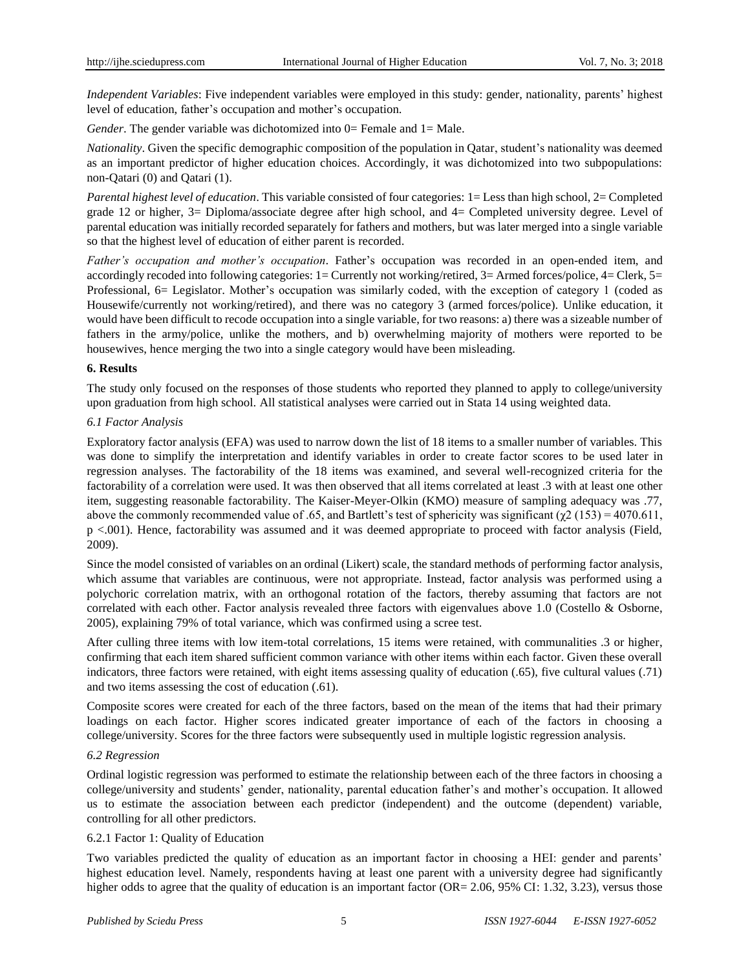*Independent Variables*: Five independent variables were employed in this study: gender, nationality, parents' highest level of education, father's occupation and mother's occupation.

*Gender*. The gender variable was dichotomized into 0= Female and 1= Male.

*Nationality*. Given the specific demographic composition of the population in Qatar, student's nationality was deemed as an important predictor of higher education choices. Accordingly, it was dichotomized into two subpopulations: non-Qatari (0) and Qatari (1).

*Parental highest level of education*. This variable consisted of four categories: 1= Less than high school, 2= Completed grade 12 or higher, 3= Diploma/associate degree after high school, and 4= Completed university degree. Level of parental education was initially recorded separately for fathers and mothers, but was later merged into a single variable so that the highest level of education of either parent is recorded.

*Father's occupation and mother's occupation*. Father's occupation was recorded in an open-ended item, and accordingly recoded into following categories: 1= Currently not working/retired, 3= Armed forces/police, 4= Clerk, 5= Professional, 6= Legislator. Mother's occupation was similarly coded, with the exception of category 1 (coded as Housewife/currently not working/retired), and there was no category 3 (armed forces/police). Unlike education, it would have been difficult to recode occupation into a single variable, for two reasons: a) there was a sizeable number of fathers in the army/police, unlike the mothers, and b) overwhelming majority of mothers were reported to be housewives, hence merging the two into a single category would have been misleading.

## **6. Results**

The study only focused on the responses of those students who reported they planned to apply to college/university upon graduation from high school. All statistical analyses were carried out in Stata 14 using weighted data.

## *6.1 Factor Analysis*

Exploratory factor analysis (EFA) was used to narrow down the list of 18 items to a smaller number of variables. This was done to simplify the interpretation and identify variables in order to create factor scores to be used later in regression analyses. The factorability of the 18 items was examined, and several well-recognized criteria for the factorability of a correlation were used. It was then observed that all items correlated at least .3 with at least one other item, suggesting reasonable factorability. The Kaiser-Meyer-Olkin (KMO) measure of sampling adequacy was .77, above the commonly recommended value of .65, and Bartlett's test of sphericity was significant ( $\chi$ 2 (153) = 4070.611, p <.001). Hence, factorability was assumed and it was deemed appropriate to proceed with factor analysis (Field, 2009).

Since the model consisted of variables on an ordinal (Likert) scale, the standard methods of performing factor analysis, which assume that variables are continuous, were not appropriate. Instead, factor analysis was performed using a polychoric correlation matrix, with an orthogonal rotation of the factors, thereby assuming that factors are not correlated with each other. Factor analysis revealed three factors with eigenvalues above 1.0 (Costello & Osborne, 2005), explaining 79% of total variance, which was confirmed using a scree test.

After culling three items with low item-total correlations, 15 items were retained, with communalities .3 or higher, confirming that each item shared sufficient common variance with other items within each factor. Given these overall indicators, three factors were retained, with eight items assessing quality of education (.65), five cultural values (.71) and two items assessing the cost of education (.61).

Composite scores were created for each of the three factors, based on the mean of the items that had their primary loadings on each factor. Higher scores indicated greater importance of each of the factors in choosing a college/university. Scores for the three factors were subsequently used in multiple logistic regression analysis.

## *6.2 Regression*

Ordinal logistic regression was performed to estimate the relationship between each of the three factors in choosing a college/university and students' gender, nationality, parental education father's and mother's occupation. It allowed us to estimate the association between each predictor (independent) and the outcome (dependent) variable, controlling for all other predictors.

## 6.2.1 Factor 1: Quality of Education

Two variables predicted the quality of education as an important factor in choosing a HEI: gender and parents' highest education level. Namely, respondents having at least one parent with a university degree had significantly higher odds to agree that the quality of education is an important factor ( $OR = 2.06$ ,  $95\%$  CI: 1.32, 3.23), versus those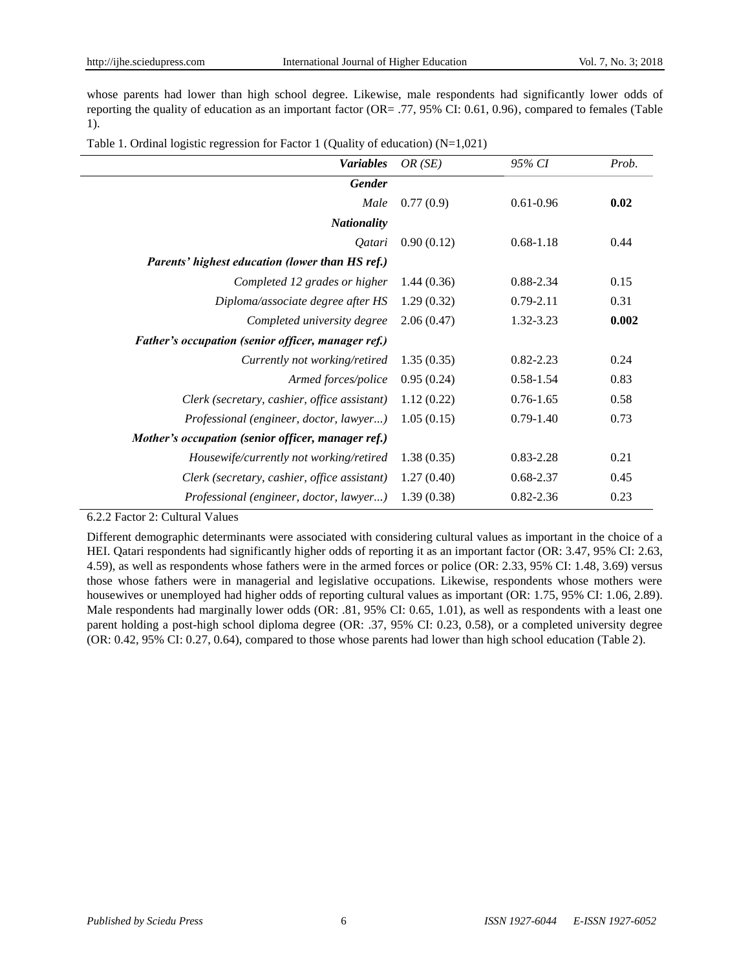whose parents had lower than high school degree. Likewise, male respondents had significantly lower odds of reporting the quality of education as an important factor (OR=  $.77,95\%$  CI: 0.61, 0.96), compared to females (Table 1).

Table 1. Ordinal logistic regression for Factor 1 (Quality of education) (N=1,021)

| <b>Variables</b>                                          | $OR$ (SE)  | 95% CI        | Prob. |
|-----------------------------------------------------------|------------|---------------|-------|
| <b>Gender</b>                                             |            |               |       |
| Male                                                      | 0.77(0.9)  | $0.61 - 0.96$ | 0.02  |
| <b>Nationality</b>                                        |            |               |       |
| Qatari                                                    | 0.90(0.12) | $0.68 - 1.18$ | 0.44  |
| Parents' highest education (lower than HS ref.)           |            |               |       |
| Completed 12 grades or higher                             | 1.44(0.36) | 0.88-2.34     | 0.15  |
| Diploma/associate degree after HS                         | 1.29(0.32) | $0.79 - 2.11$ | 0.31  |
| Completed university degree                               | 2.06(0.47) | 1.32-3.23     | 0.002 |
| <b>Father's occupation (senior officer, manager ref.)</b> |            |               |       |
| Currently not working/retired                             | 1.35(0.35) | $0.82 - 2.23$ | 0.24  |
| Armed forces/police                                       | 0.95(0.24) | $0.58 - 1.54$ | 0.83  |
| Clerk (secretary, cashier, office assistant)              | 1.12(0.22) | $0.76 - 1.65$ | 0.58  |
| Professional (engineer, doctor, lawyer)                   | 1.05(0.15) | $0.79 - 1.40$ | 0.73  |
| Mother's occupation (senior officer, manager ref.)        |            |               |       |
| Housewife/currently not working/retired                   | 1.38(0.35) | $0.83 - 2.28$ | 0.21  |
| Clerk (secretary, cashier, office assistant)              | 1.27(0.40) | $0.68 - 2.37$ | 0.45  |
| Professional (engineer, doctor, lawyer)                   | 1.39(0.38) | 0.82-2.36     | 0.23  |

6.2.2 Factor 2: Cultural Values

Different demographic determinants were associated with considering cultural values as important in the choice of a HEI. Qatari respondents had significantly higher odds of reporting it as an important factor (OR: 3.47, 95% CI: 2.63, 4.59), as well as respondents whose fathers were in the armed forces or police (OR: 2.33, 95% CI: 1.48, 3.69) versus those whose fathers were in managerial and legislative occupations. Likewise, respondents whose mothers were housewives or unemployed had higher odds of reporting cultural values as important (OR: 1.75, 95% CI: 1.06, 2.89). Male respondents had marginally lower odds (OR: .81, 95% CI: 0.65, 1.01), as well as respondents with a least one parent holding a post-high school diploma degree (OR: .37, 95% CI: 0.23, 0.58), or a completed university degree (OR: 0.42, 95% CI: 0.27, 0.64), compared to those whose parents had lower than high school education (Table 2).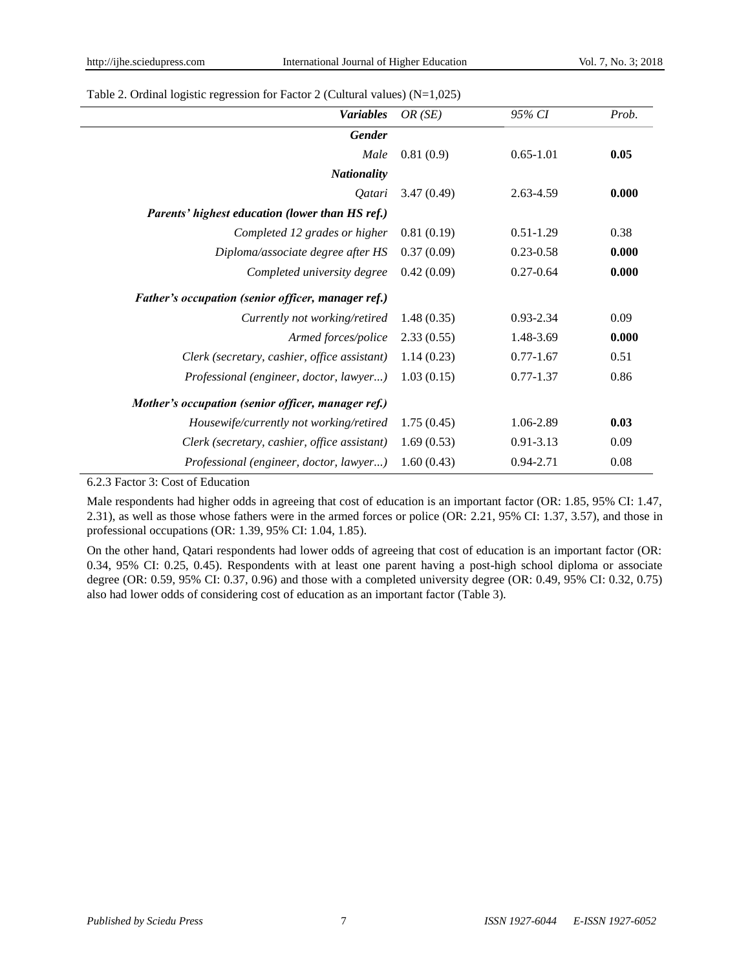| Table 2. Ordinal logistic regression for Factor 2 (Cultural values) $(N=1,025)$ |
|---------------------------------------------------------------------------------|
|---------------------------------------------------------------------------------|

| <b>Variables</b>                                   | $OR$ (SE)  | 95% CI        | Prob. |
|----------------------------------------------------|------------|---------------|-------|
| <b>Gender</b>                                      |            |               |       |
| Male                                               | 0.81(0.9)  | $0.65 - 1.01$ | 0.05  |
| <b>Nationality</b>                                 |            |               |       |
| <i>Oatari</i>                                      | 3.47(0.49) | 2.63-4.59     | 0.000 |
| Parents' highest education (lower than HS ref.)    |            |               |       |
| Completed 12 grades or higher                      | 0.81(0.19) | $0.51 - 1.29$ | 0.38  |
| Diploma/associate degree after HS                  | 0.37(0.09) | $0.23 - 0.58$ | 0.000 |
| Completed university degree                        | 0.42(0.09) | $0.27 - 0.64$ | 0.000 |
| Father's occupation (senior officer, manager ref.) |            |               |       |
| Currently not working/retired                      | 1.48(0.35) | 0.93-2.34     | 0.09  |
| Armed forces/police                                | 2.33(0.55) | 1.48-3.69     | 0.000 |
| Clerk (secretary, cashier, office assistant)       | 1.14(0.23) | $0.77 - 1.67$ | 0.51  |
| Professional (engineer, doctor, lawyer)            | 1.03(0.15) | $0.77 - 1.37$ | 0.86  |
| Mother's occupation (senior officer, manager ref.) |            |               |       |
| Housewife/currently not working/retired            | 1.75(0.45) | 1.06-2.89     | 0.03  |
| Clerk (secretary, cashier, office assistant)       | 1.69(0.53) | $0.91 - 3.13$ | 0.09  |
| Professional (engineer, doctor, lawyer)            | 1.60(0.43) | 0.94-2.71     | 0.08  |

6.2.3 Factor 3: Cost of Education

Male respondents had higher odds in agreeing that cost of education is an important factor (OR: 1.85, 95% CI: 1.47, 2.31), as well as those whose fathers were in the armed forces or police (OR: 2.21, 95% CI: 1.37, 3.57), and those in professional occupations (OR: 1.39, 95% CI: 1.04, 1.85).

On the other hand, Qatari respondents had lower odds of agreeing that cost of education is an important factor (OR: 0.34, 95% CI: 0.25, 0.45). Respondents with at least one parent having a post-high school diploma or associate degree (OR: 0.59, 95% CI: 0.37, 0.96) and those with a completed university degree (OR: 0.49, 95% CI: 0.32, 0.75) also had lower odds of considering cost of education as an important factor (Table 3).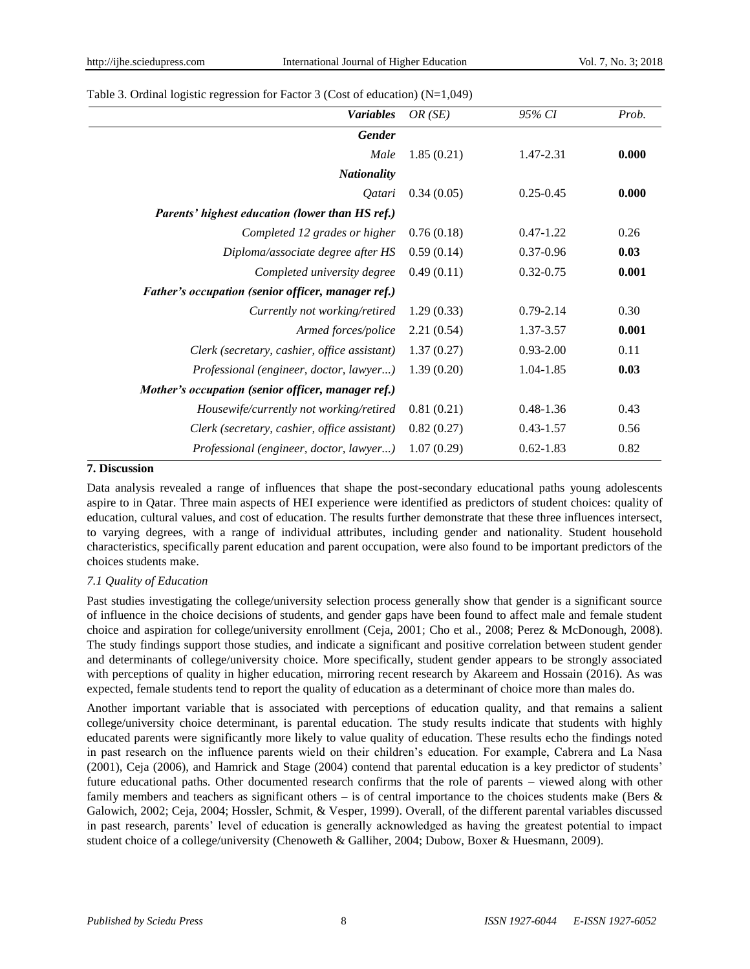## Table 3. Ordinal logistic regression for Factor 3 (Cost of education)  $(N=1,049)$

| <b>Variables</b>                                   | $OR$ (SE)  | 95% CI        | Prob. |
|----------------------------------------------------|------------|---------------|-------|
| <b>Gender</b>                                      |            |               |       |
| Male                                               | 1.85(0.21) | 1.47-2.31     | 0.000 |
| <b>Nationality</b>                                 |            |               |       |
| Qatari                                             | 0.34(0.05) | $0.25 - 0.45$ | 0.000 |
| Parents' highest education (lower than HS ref.)    |            |               |       |
| Completed 12 grades or higher                      | 0.76(0.18) | $0.47 - 1.22$ | 0.26  |
| Diploma/associate degree after HS                  | 0.59(0.14) | $0.37 - 0.96$ | 0.03  |
| Completed university degree                        | 0.49(0.11) | $0.32 - 0.75$ | 0.001 |
| Father's occupation (senior officer, manager ref.) |            |               |       |
| Currently not working/retired                      | 1.29(0.33) | $0.79 - 2.14$ | 0.30  |
| Armed forces/police                                | 2.21(0.54) | 1.37-3.57     | 0.001 |
| Clerk (secretary, cashier, office assistant)       | 1.37(0.27) | $0.93 - 2.00$ | 0.11  |
| Professional (engineer, doctor, lawyer)            | 1.39(0.20) | 1.04-1.85     | 0.03  |
| Mother's occupation (senior officer, manager ref.) |            |               |       |
| Housewife/currently not working/retired            | 0.81(0.21) | $0.48 - 1.36$ | 0.43  |
| Clerk (secretary, cashier, office assistant)       | 0.82(0.27) | $0.43 - 1.57$ | 0.56  |
| Professional (engineer, doctor, lawyer)            | 1.07(0.29) | $0.62 - 1.83$ | 0.82  |
|                                                    |            |               |       |

## **7. Discussion**

Data analysis revealed a range of influences that shape the post-secondary educational paths young adolescents aspire to in Qatar. Three main aspects of HEI experience were identified as predictors of student choices: quality of education, cultural values, and cost of education. The results further demonstrate that these three influences intersect, to varying degrees, with a range of individual attributes, including gender and nationality. Student household characteristics, specifically parent education and parent occupation, were also found to be important predictors of the choices students make.

## *7.1 Quality of Education*

Past studies investigating the college/university selection process generally show that gender is a significant source of influence in the choice decisions of students, and gender gaps have been found to affect male and female student choice and aspiration for college/university enrollment (Ceja, 2001; Cho et al., 2008; Perez & McDonough, 2008). The study findings support those studies, and indicate a significant and positive correlation between student gender and determinants of college/university choice. More specifically, student gender appears to be strongly associated with perceptions of quality in higher education, mirroring recent research by Akareem and Hossain (2016). As was expected, female students tend to report the quality of education as a determinant of choice more than males do.

Another important variable that is associated with perceptions of education quality, and that remains a salient college/university choice determinant, is parental education. The study results indicate that students with highly educated parents were significantly more likely to value quality of education. These results echo the findings noted in past research on the influence parents wield on their children's education. For example, Cabrera and La Nasa (2001), Ceja (2006), and Hamrick and Stage (2004) contend that parental education is a key predictor of students' future educational paths. Other documented research confirms that the role of parents – viewed along with other family members and teachers as significant others – is of central importance to the choices students make (Bers & Galowich, 2002; Ceja, 2004; Hossler, Schmit, & Vesper, 1999). Overall, of the different parental variables discussed in past research, parents' level of education is generally acknowledged as having the greatest potential to impact student choice of a college/university (Chenoweth & Galliher, 2004; Dubow, Boxer & Huesmann, 2009).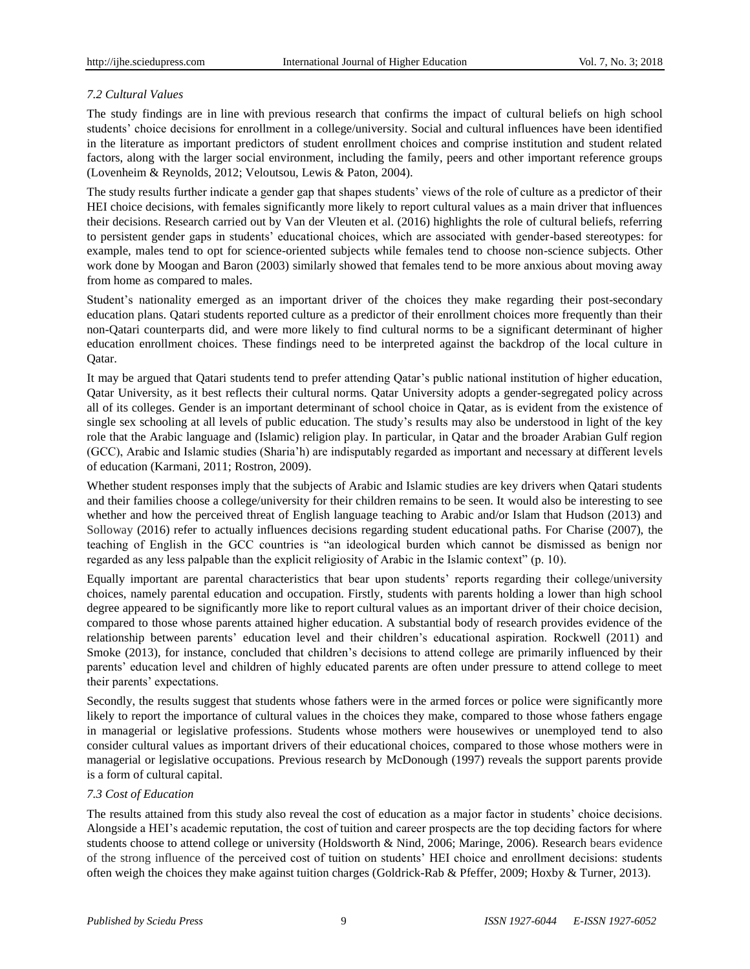# *7.2 Cultural Values*

The study findings are in line with previous research that confirms the impact of cultural beliefs on high school students' choice decisions for enrollment in a college/university. Social and cultural influences have been identified in the literature as important predictors of student enrollment choices and comprise institution and student related factors, along with the larger social environment, including the family, peers and other important reference groups (Lovenheim & Reynolds, 2012; Veloutsou, Lewis & Paton, 2004).

The study results further indicate a gender gap that shapes students' views of the role of culture as a predictor of their HEI choice decisions, with females significantly more likely to report cultural values as a main driver that influences their decisions. Research carried out by Van der Vleuten et al. (2016) highlights the role of cultural beliefs, referring to persistent gender gaps in students' educational choices, which are associated with gender-based stereotypes: for example, males tend to opt for science-oriented subjects while females tend to choose non-science subjects. Other work done by Moogan and Baron (2003) similarly showed that females tend to be more anxious about moving away from home as compared to males.

Student's nationality emerged as an important driver of the choices they make regarding their post-secondary education plans. Qatari students reported culture as a predictor of their enrollment choices more frequently than their non-Qatari counterparts did, and were more likely to find cultural norms to be a significant determinant of higher education enrollment choices. These findings need to be interpreted against the backdrop of the local culture in Qatar.

It may be argued that Qatari students tend to prefer attending Qatar's public national institution of higher education, Qatar University, as it best reflects their cultural norms. Qatar University adopts a gender-segregated policy across all of its colleges. Gender is an important determinant of school choice in Qatar, as is evident from the existence of single sex schooling at all levels of public education. The study's results may also be understood in light of the key role that the Arabic language and (Islamic) religion play. In particular, in Qatar and the broader Arabian Gulf region (GCC), Arabic and Islamic studies (Sharia'h) are indisputably regarded as important and necessary at different levels of education (Karmani, 2011; Rostron, 2009).

Whether student responses imply that the subjects of Arabic and Islamic studies are key drivers when Qatari students and their families choose a college/university for their children remains to be seen. It would also be interesting to see whether and how the perceived threat of English language teaching to Arabic and/or Islam that Hudson (2013) and Solloway (2016) refer to actually influences decisions regarding student educational paths. For Charise (2007), the teaching of English in the GCC countries is "an ideological burden which cannot be dismissed as benign nor regarded as any less palpable than the explicit religiosity of Arabic in the Islamic context" (p. 10).

Equally important are parental characteristics that bear upon students' reports regarding their college/university choices, namely parental education and occupation. Firstly, students with parents holding a lower than high school degree appeared to be significantly more like to report cultural values as an important driver of their choice decision, compared to those whose parents attained higher education. A substantial body of research provides evidence of the relationship between parents' education level and their children's educational aspiration. Rockwell (2011) and Smoke (2013), for instance, concluded that children's decisions to attend college are primarily influenced by their parents' education level and children of highly educated parents are often under pressure to attend college to meet their parents' expectations.

Secondly, the results suggest that students whose fathers were in the armed forces or police were significantly more likely to report the importance of cultural values in the choices they make, compared to those whose fathers engage in managerial or legislative professions. Students whose mothers were housewives or unemployed tend to also consider cultural values as important drivers of their educational choices, compared to those whose mothers were in managerial or legislative occupations. Previous research by McDonough (1997) reveals the support parents provide is a form of cultural capital.

# *7.3 Cost of Education*

The results attained from this study also reveal the cost of education as a major factor in students' choice decisions. Alongside a HEI's academic reputation, the cost of tuition and career prospects are the top deciding factors for where students choose to attend college or university (Holdsworth & Nind, 2006; Maringe, 2006). Research bears evidence of the strong influence of the perceived cost of tuition on students' HEI choice and enrollment decisions: students often weigh the choices they make against tuition charges (Goldrick-Rab & Pfeffer, 2009; Hoxby & Turner, 2013).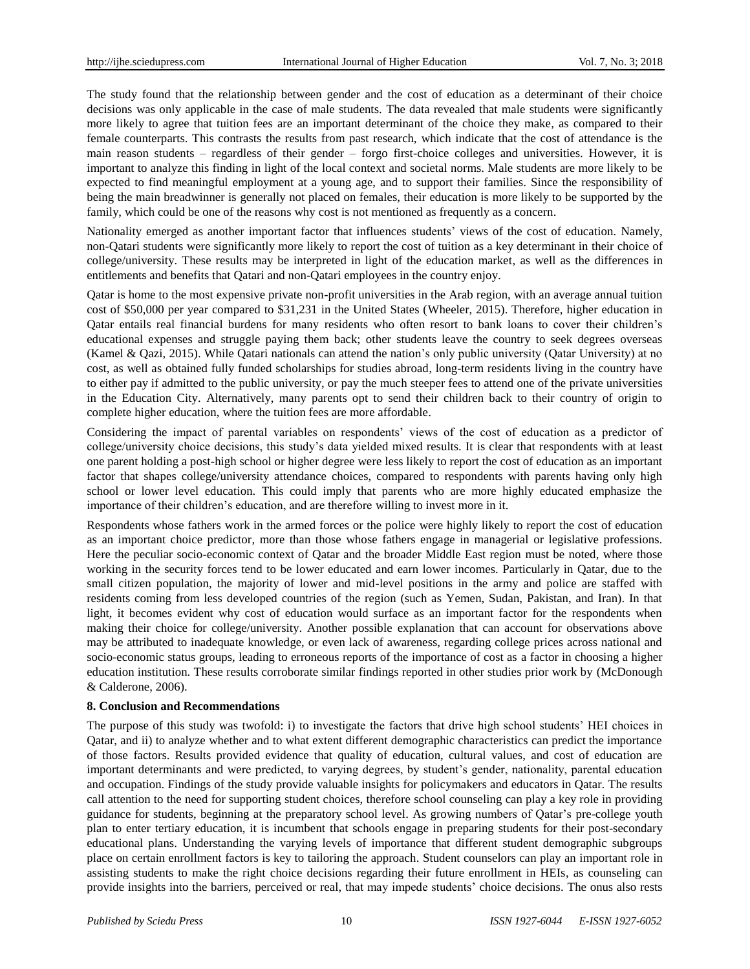The study found that the relationship between gender and the cost of education as a determinant of their choice decisions was only applicable in the case of male students. The data revealed that male students were significantly more likely to agree that tuition fees are an important determinant of the choice they make, as compared to their female counterparts. This contrasts the results from past research, which indicate that the cost of attendance is the main reason students – regardless of their gender – forgo first-choice colleges and universities. However, it is important to analyze this finding in light of the local context and societal norms. Male students are more likely to be expected to find meaningful employment at a young age, and to support their families. Since the responsibility of being the main breadwinner is generally not placed on females, their education is more likely to be supported by the family, which could be one of the reasons why cost is not mentioned as frequently as a concern.

Nationality emerged as another important factor that influences students' views of the cost of education. Namely, non-Qatari students were significantly more likely to report the cost of tuition as a key determinant in their choice of college/university. These results may be interpreted in light of the education market, as well as the differences in entitlements and benefits that Qatari and non-Qatari employees in the country enjoy.

Qatar is home to the most expensive private non-profit universities in the Arab region, with an average annual tuition cost of \$50,000 per year compared to \$31,231 in the United States (Wheeler, 2015). Therefore, higher education in Qatar entails real financial burdens for many residents who often resort to bank loans to cover their children's educational expenses and struggle paying them back; other students leave the country to seek degrees overseas (Kamel & Qazi, 2015). While Qatari nationals can attend the nation's only public university (Qatar University) at no cost, as well as obtained fully funded scholarships for studies abroad, long-term residents living in the country have to either pay if admitted to the public university, or pay the much steeper fees to attend one of the private universities in the Education City. Alternatively, many parents opt to send their children back to their country of origin to complete higher education, where the tuition fees are more affordable.

Considering the impact of parental variables on respondents' views of the cost of education as a predictor of college/university choice decisions, this study's data yielded mixed results. It is clear that respondents with at least one parent holding a post-high school or higher degree were less likely to report the cost of education as an important factor that shapes college/university attendance choices, compared to respondents with parents having only high school or lower level education. This could imply that parents who are more highly educated emphasize the importance of their children's education, and are therefore willing to invest more in it.

Respondents whose fathers work in the armed forces or the police were highly likely to report the cost of education as an important choice predictor, more than those whose fathers engage in managerial or legislative professions. Here the peculiar socio-economic context of Qatar and the broader Middle East region must be noted, where those working in the security forces tend to be lower educated and earn lower incomes. Particularly in Qatar, due to the small citizen population, the majority of lower and mid-level positions in the army and police are staffed with residents coming from less developed countries of the region (such as Yemen, Sudan, Pakistan, and Iran). In that light, it becomes evident why cost of education would surface as an important factor for the respondents when making their choice for college/university. Another possible explanation that can account for observations above may be attributed to inadequate knowledge, or even lack of awareness, regarding college prices across national and socio-economic status groups, leading to erroneous reports of the importance of cost as a factor in choosing a higher education institution. These results corroborate similar findings reported in other studies prior work by (McDonough & Calderone, 2006).

## **8. Conclusion and Recommendations**

The purpose of this study was twofold: i) to investigate the factors that drive high school students' HEI choices in Qatar, and ii) to analyze whether and to what extent different demographic characteristics can predict the importance of those factors. Results provided evidence that quality of education, cultural values, and cost of education are important determinants and were predicted, to varying degrees, by student's gender, nationality, parental education and occupation. Findings of the study provide valuable insights for policymakers and educators in Qatar. The results call attention to the need for supporting student choices, therefore school counseling can play a key role in providing guidance for students, beginning at the preparatory school level. As growing numbers of Qatar's pre-college youth plan to enter tertiary education, it is incumbent that schools engage in preparing students for their post-secondary educational plans. Understanding the varying levels of importance that different student demographic subgroups place on certain enrollment factors is key to tailoring the approach. Student counselors can play an important role in assisting students to make the right choice decisions regarding their future enrollment in HEIs, as counseling can provide insights into the barriers, perceived or real, that may impede students' choice decisions. The onus also rests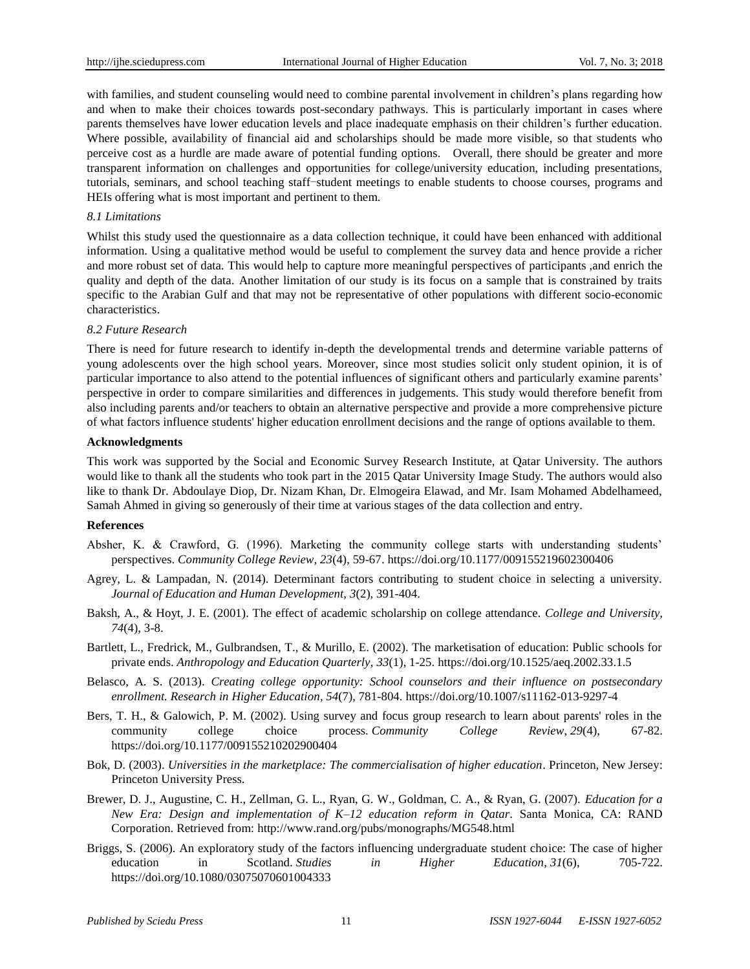with families, and student counseling would need to combine parental involvement in children's plans regarding how and when to make their choices towards post-secondary pathways. This is particularly important in cases where parents themselves have lower education levels and place inadequate emphasis on their children's further education. Where possible, availability of financial aid and scholarships should be made more visible, so that students who perceive cost as a hurdle are made aware of potential funding options. Overall, there should be greater and more transparent information on challenges and opportunities for college/university education, including presentations, tutorials, seminars, and school teaching staff-student meetings to enable students to choose courses, programs and HEIs offering what is most important and pertinent to them.

## *8.1 Limitations*

Whilst this study used the questionnaire as a data collection technique, it could have been enhanced with additional information. Using a qualitative method would be useful to complement the survey data and hence provide a richer and more robust set of data. This would help to capture more meaningful perspectives of participants ,and enrich the quality and depth of the data. Another limitation of our study is its focus on a sample that is constrained by traits specific to the Arabian Gulf and that may not be representative of other populations with different socio-economic characteristics.

#### *8.2 Future Research*

There is need for future research to identify in-depth the developmental trends and determine variable patterns of young adolescents over the high school years. Moreover, since most studies solicit only student opinion, it is of particular importance to also attend to the potential influences of significant others and particularly examine parents' perspective in order to compare similarities and differences in judgements. This study would therefore benefit from also including parents and/or teachers to obtain an alternative perspective and provide a more comprehensive picture of what factors influence students' higher education enrollment decisions and the range of options available to them.

#### **Acknowledgments**

This work was supported by the Social and Economic Survey Research Institute, at Qatar University. The authors would like to thank all the students who took part in the 2015 Qatar University Image Study. The authors would also like to thank Dr. Abdoulaye Diop, Dr. Nizam Khan, Dr. Elmogeira Elawad, and Mr. Isam Mohamed Abdelhameed, Samah Ahmed in giving so generously of their time at various stages of the data collection and entry.

#### **References**

- Absher, K. & Crawford, G. (1996). Marketing the community college starts with understanding students' perspectives. *Community College Review, 23*(4), 59-67. <https://doi.org/10.1177/009155219602300406>
- Agrey, L. & Lampadan, N. (2014). Determinant factors contributing to student choice in selecting a university. *Journal of Education and Human Development, 3*(2), 391-404.
- Baksh, A., & Hoyt, J. E. (2001). The effect of academic scholarship on college attendance. *College and University, 74*(4), 3-8.
- Bartlett, L., Fredrick, M., Gulbrandsen, T., & Murillo, E. (2002). The marketisation of education: Public schools for private ends. *Anthropology and Education Quarterly, 33*(1), 1-25[. https://doi.org/10.1525/aeq.2002.33.1.5](https://doi.org/10.1525/aeq.2002.33.1.5)
- Belasco, A. S. (2013). *Creating college opportunity: School counselors and their influence on postsecondary enrollment. Research in Higher Education, 54*(7), 781-804. <https://doi.org/10.1007/s11162-013-9297-4>
- Bers, T. H., & Galowich, P. M. (2002). Using survey and focus group research to learn about parents' roles in the community college choice process. *Community College Review*, *29*(4), 67-82. <https://doi.org/10.1177/009155210202900404>
- Bok, D. (2003). *Universities in the marketplace: The commercialisation of higher education*. Princeton, New Jersey: Princeton University Press.
- Brewer, D. J., Augustine, C. H., Zellman, G. L., Ryan, G. W., Goldman, C. A., & Ryan, G. (2007). *Education for a New Era: Design and implementation of K–12 education reform in Qatar*. Santa Monica, CA: RAND Corporation. Retrieved from:<http://www.rand.org/pubs/monographs/MG548.html>
- Briggs, S. (2006). An exploratory study of the factors influencing undergraduate student choice: The case of higher education in Scotland. *Studies in Higher Education*, *31*(6), 705-722. <https://doi.org/10.1080/03075070601004333>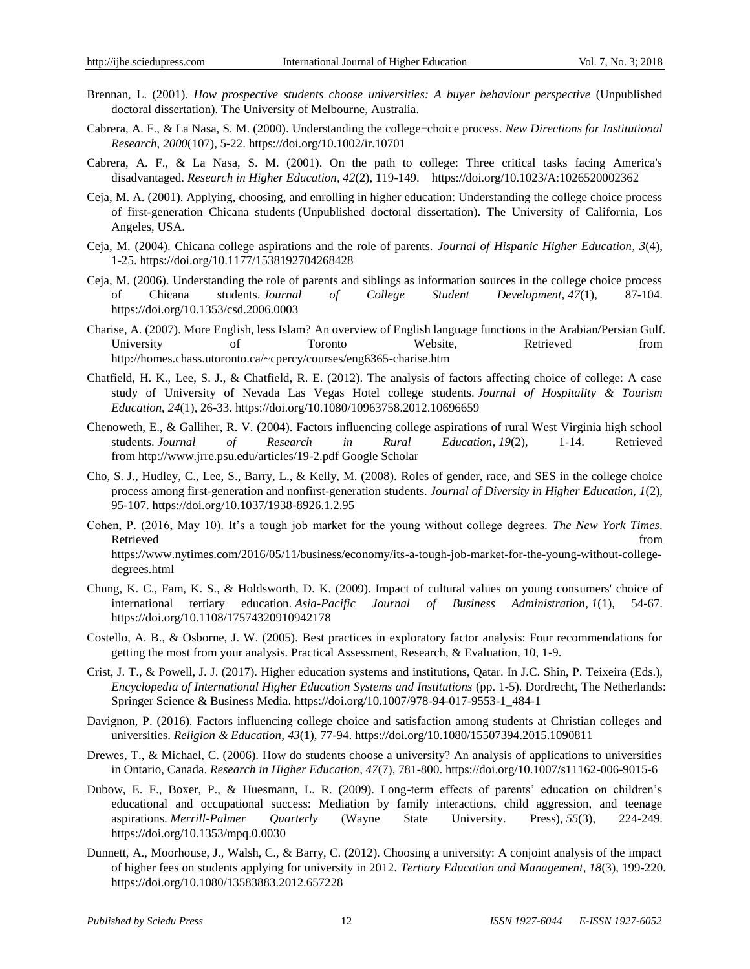- Brennan, L. (2001). *How prospective students choose universities: A buyer behaviour perspective* (Unpublished doctoral dissertation). The University of Melbourne, Australia.
- Cabrera, A. F., & La Nasa, S. M. (2000). Understanding the college-choice process. *New Directions for Institutional Research*, *2000*(107), 5-22.<https://doi.org/10.1002/ir.10701>
- Cabrera, A. F., & La Nasa, S. M. (2001). On the path to college: Three critical tasks facing America's disadvantaged. *Research in Higher Education, 42*(2), 119-149. <https://doi.org/10.1023/A:1026520002362>
- Ceja, M. A. (2001). Applying, choosing, and enrolling in higher education: Understanding the college choice process of first-generation Chicana students (Unpublished doctoral dissertation). The University of California, Los Angeles, USA.
- Ceja, M. (2004). Chicana college aspirations and the role of parents. *Journal of Hispanic Higher Education, 3*(4), 1-25. <https://doi.org/10.1177/1538192704268428>
- Ceja, M. (2006). Understanding the role of parents and siblings as information sources in the college choice process of Chicana students. *Journal of College Student Development*, *47*(1), 87-104. <https://doi.org/10.1353/csd.2006.0003>
- Charise, A. (2007). More English, less Islam? An overview of English language functions in the Arabian/Persian Gulf. University of Toronto Website, Retrieved from http://homes.chass.utoronto.ca/~cpercy/courses/eng6365-charise.htm
- Chatfield, H. K., Lee, S. J., & Chatfield, R. E. (2012). The analysis of factors affecting choice of college: A case study of University of Nevada Las Vegas Hotel college students. *Journal of Hospitality & Tourism Education*, *24*(1), 26-33.<https://doi.org/10.1080/10963758.2012.10696659>
- Chenoweth, E., & Galliher, R. V. (2004). Factors influencing college aspirations of rural West Virginia high school students. *Journal of Research in Rural Education*, *19*(2), 1-14. Retrieved from <http://www.jrre.psu.edu/articles/19-2.pdf> [Google Scholar](http://scholar.google.com/scholar_lookup?hl=en&publication_year=2004&issue=2&title=Factors+influencing+college+aspirations+of+rural+West+Virginia+high+school+students&)
- Cho, S. J., Hudley, C., Lee, S., Barry, L., & Kelly, M. (2008). Roles of gender, race, and SES in the college choice process among first-generation and nonfirst-generation students. *Journal of Diversity in Higher Education, 1*(2), 95-107.<https://doi.org/10.1037/1938-8926.1.2.95>
- Cohen, P. (2016, May 10). It's a tough job market for the young without college degrees. *The New York Times*. Retrieved that the contract of the contract of the contract of the contract of the contract of the contract of the contract of the contract of the contract of the contract of the contract of the contract of the contract of [https://www.nytimes.com/2016/05/11/business/economy/its-a-tough-job-market-for-the-young-without-college](https://www.nytimes.com/2016/05/11/business/economy/its-a-tough-job-market-for-the-young-without-college-degrees.html)[degrees.html](https://www.nytimes.com/2016/05/11/business/economy/its-a-tough-job-market-for-the-young-without-college-degrees.html)
- Chung, K. C., Fam, K. S., & Holdsworth, D. K. (2009). Impact of cultural values on young consumers' choice of international tertiary education. *Asia-Pacific Journal of Business Administration*, *1*(1), 54-67. <https://doi.org/10.1108/17574320910942178>
- Costello, A. B., & Osborne, J. W. (2005). Best practices in exploratory factor analysis: Four recommendations for getting the most from your analysis. Practical Assessment, Research, & Evaluation, 10, 1-9.
- Crist, J. T., & Powell, J. J. (2017). Higher education systems and institutions, Qatar. In J.C. Shin, P. Teixeira (Eds.), *Encyclopedia of International Higher Education Systems and Institutions* (pp. 1-5). Dordrecht, The Netherlands: Springer Science & Business Media. [https://doi.org/10.1007/978-94-017-9553-1\\_484-1](https://doi.org/10.1007/978-94-017-9553-1_484-1)
- Davignon, P. (2016). Factors influencing college choice and satisfaction among students at Christian colleges and universities. *Religion & Education*, *43*(1), 77-94.<https://doi.org/10.1080/15507394.2015.1090811>
- Drewes, T., & Michael, C. (2006). How do students choose a university? An analysis of applications to universities in Ontario, Canada. *Research in Higher Education, 47*(7), 781-800. <https://doi.org/10.1007/s11162-006-9015-6>
- Dubow, E. F., Boxer, P., & Huesmann, L. R. (2009). Long-term effects of parents' education on children's educational and occupational success: Mediation by family interactions, child aggression, and teenage aspirations. *Merrill-Palmer Quarterly* (Wayne State University. Press), *55*(3), 224-249. <https://doi.org/10.1353/mpq.0.0030>
- Dunnett, A., Moorhouse, J., Walsh, C., & Barry, C. (2012). Choosing a university: A conjoint analysis of the impact of higher fees on students applying for university in 2012. *Tertiary Education and Management*, *18*(3), 199-220. <https://doi.org/10.1080/13583883.2012.657228>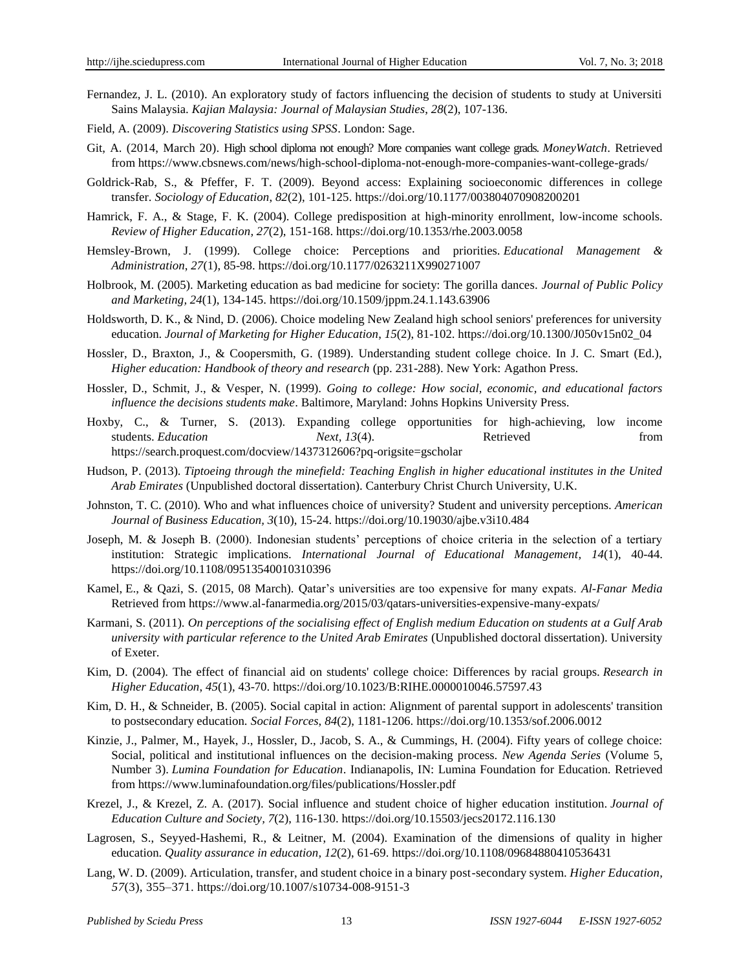- Fernandez, J. L. (2010). An exploratory study of factors influencing the decision of students to study at Universiti Sains Malaysia. *Kajian Malaysia: Journal of Malaysian Studies*, *28*(2), 107-136.
- Field, A. (2009). *Discovering Statistics using SPSS*. London: Sage.
- Git, A. (2014, March 20). High school diploma not enough? More companies want college grads. *MoneyWatch*. Retrieved from<https://www.cbsnews.com/news/high-school-diploma-not-enough-more-companies-want-college-grads/>
- Goldrick-Rab, S., & Pfeffer, F. T. (2009). Beyond access: Explaining socioeconomic differences in college transfer. *Sociology of Education*, *82*(2), 101-125. <https://doi.org/10.1177/003804070908200201>
- Hamrick, F. A., & Stage, F. K. (2004). College predisposition at high-minority enrollment, low-income schools. *Review of Higher Education, 27*(2), 151-168. <https://doi.org/10.1353/rhe.2003.0058>
- Hemsley-Brown, J. (1999). College choice: Perceptions and priorities. *Educational Management & Administration*, *27*(1), 85-98.<https://doi.org/10.1177/0263211X990271007>
- Holbrook, M. (2005). Marketing education as bad medicine for society: The gorilla dances. *Journal of Public Policy and Marketing, 24*(1), 134-145. <https://doi.org/10.1509/jppm.24.1.143.63906>
- Holdsworth, D. K., & Nind, D. (2006). Choice modeling New Zealand high school seniors' preferences for university education. *Journal of Marketing for Higher Education*, *15*(2), 81-102. [https://doi.org/10.1300/J050v15n02\\_04](https://doi.org/10.1300/J050v15n02_04)
- Hossler, D., Braxton, J., & Coopersmith, G. (1989). Understanding student college choice. In J. C. Smart (Ed.), *Higher education: Handbook of theory and research* (pp. 231-288). New York: Agathon Press.
- Hossler, D., Schmit, J., & Vesper, N. (1999). *Going to college: How social, economic, and educational factors influence the decisions students make*. Baltimore, Maryland: Johns Hopkins University Press.
- Hoxby, C., & Turner, S. (2013). Expanding college opportunities for high-achieving, low income students. *Education* Mext, 13(4). Retrieved **Retrieved** from <https://search.proquest.com/docview/1437312606?pq-origsite=gscholar>
- Hudson, P. (2013). *Tiptoeing through the minefield: Teaching English in higher educational institutes in the United Arab Emirates* (Unpublished doctoral dissertation). Canterbury Christ Church University, U.K.
- Johnston, T. C. (2010). Who and what influences choice of university? Student and university perceptions. *American Journal of Business Education, 3*(10), 15-24[. https://doi.org/10.19030/ajbe.v3i10.484](https://doi.org/10.19030/ajbe.v3i10.484)
- Joseph, M. & Joseph B. (2000). Indonesian students' perceptions of choice criteria in the selection of a tertiary institution: Strategic implications. *International Journal of Educational Management, 14*(1), 40-44. <https://doi.org/10.1108/09513540010310396>
- Kamel, E., & Qazi, S. (2015, 08 March). Qatar's universities are too expensive for many expats. *Al-Fanar Media* Retrieved from<https://www.al-fanarmedia.org/2015/03/qatars-universities-expensive-many-expats/>
- Karmani, S. (2011). *On perceptions of the socialising effect of English medium Education on students at a Gulf Arab university with particular reference to the United Arab Emirates* (Unpublished doctoral dissertation). University of Exeter.
- Kim, D. (2004). The effect of financial aid on students' college choice: Differences by racial groups. *Research in Higher Education*, *45*(1), 43-70. <https://doi.org/10.1023/B:RIHE.0000010046.57597.43>
- Kim, D. H., & Schneider, B. (2005). Social capital in action: Alignment of parental support in adolescents' transition to postsecondary education. *Social Forces*, *84*(2), 1181-1206.<https://doi.org/10.1353/sof.2006.0012>
- Kinzie, J., Palmer, M., Hayek, J., Hossler, D., Jacob, S. A., & Cummings, H. (2004). Fifty years of college choice: Social, political and institutional influences on the decision-making process. *New Agenda Series* (Volume 5, Number 3). *Lumina Foundation for Education*. Indianapolis, IN: Lumina Foundation for Education. Retrieved from<https://www.luminafoundation.org/files/publications/Hossler.pdf>
- Krezel, J., & Krezel, Z. A. (2017). Social influence and student choice of higher education institution. *Journal of Education Culture and Society, 7*(2), 116-130.<https://doi.org/10.15503/jecs20172.116.130>
- Lagrosen, S., Seyyed-Hashemi, R., & Leitner, M. (2004). Examination of the dimensions of quality in higher education. *Quality assurance in education, 12*(2), 61-69. <https://doi.org/10.1108/09684880410536431>
- Lang, W. D. (2009). Articulation, transfer, and student choice in a binary post-secondary system. *Higher Education, 57*(3), 355–371. <https://doi.org/10.1007/s10734-008-9151-3>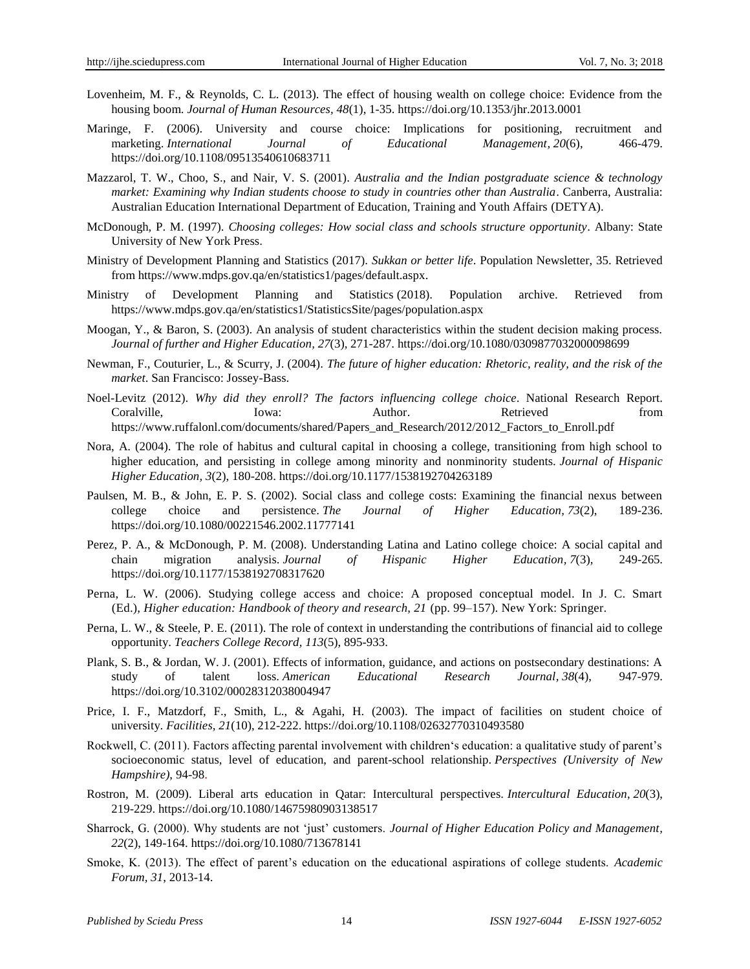- Lovenheim, M. F., & Reynolds, C. L. (2013). The effect of housing wealth on college choice: Evidence from the housing boom. *Journal of Human Resources, 48*(1), 1-35. <https://doi.org/10.1353/jhr.2013.0001>
- Maringe, F. (2006). University and course choice: Implications for positioning, recruitment and marketing. *International Journal of Educational Management, 20*(6), 466-479. <https://doi.org/10.1108/09513540610683711>
- Mazzarol, T. W., Choo, S., and Nair, V. S. (2001). *Australia and the Indian postgraduate science & technology market: Examining why Indian students choose to study in countries other than Australia*. Canberra, Australia: Australian Education International Department of Education, Training and Youth Affairs (DETYA).
- McDonough, P. M. (1997). *Choosing colleges: How social class and schools structure opportunity*. Albany: State University of New York Press.
- Ministry of Development Planning and Statistics (2017). *Sukkan or better life*. Population Newsletter, 35. Retrieved from [https://www.mdps.gov.qa/en/statistics1/pages/default.aspx.](https://www.mdps.gov.qa/en/statistics1/pages/default.aspx)
- Ministry of Development Planning and Statistics (2018). Population archive. Retrieved from <https://www.mdps.gov.qa/en/statistics1/StatisticsSite/pages/population.aspx>
- Moogan, Y., & Baron, S. (2003). An analysis of student characteristics within the student decision making process. *Journal of further and Higher Education, 27*(3), 271-287[. https://doi.org/10.1080/0309877032000098699](https://doi.org/10.1080/0309877032000098699)
- Newman, F., Couturier, L., & Scurry, J. (2004). *The future of higher education: Rhetoric, reality, and the risk of the market*. San Francisco: Jossey-Bass.
- Noel-Levitz (2012). *Why did they enroll? The factors influencing college choice*. National Research Report. Coralville, Iowa: Iowa: Author. Retrieved from [https://www.ruffalonl.com/documents/shared/Papers\\_and\\_Research/2012/2012\\_Factors\\_to\\_Enroll.pdf](https://www.ruffalonl.com/documents/shared/Papers_and_Research/2012/2012_Factors_to_Enroll.pdf)
- Nora, A. (2004). The role of habitus and cultural capital in choosing a college, transitioning from high school to higher education, and persisting in college among minority and nonminority students. *Journal of Hispanic Higher Education, 3*(2), 180-208. <https://doi.org/10.1177/1538192704263189>
- Paulsen, M. B., & John, E. P. S. (2002). Social class and college costs: Examining the financial nexus between college choice and persistence. *The Journal of Higher Education, 73*(2), 189-236. <https://doi.org/10.1080/00221546.2002.11777141>
- Perez, P. A., & McDonough, P. M. (2008). Understanding Latina and Latino college choice: A social capital and chain migration analysis. *Journal of Hispanic Higher Education, 7*(3), 249-265. [https://doi.org/10.1177/1538192708317620](https://doi.org/10.1177%2F1538192708317620)
- Perna, L. W. (2006). Studying college access and choice: A proposed conceptual model. In J. C. Smart (Ed.), *Higher education: Handbook of theory and research, 21* (pp. 99–157). New York: Springer.
- Perna, L. W., & Steele, P. E. (2011). The role of context in understanding the contributions of financial aid to college opportunity. *Teachers College Record, 113*(5), 895-933.
- Plank, S. B., & Jordan, W. J. (2001). Effects of information, guidance, and actions on postsecondary destinations: A study of talent loss. *American Educational Research Journal, 38*(4), 947-979. [https://doi.org/10.3102/00028312038004947](https://doi.org/10.3102%2F00028312038004947)
- Price, I. F., Matzdorf, F., Smith, L., & Agahi, H. (2003). The impact of facilities on student choice of university. *Facilities, 21*(10), 212-222. <https://doi.org/10.1108/02632770310493580>
- Rockwell, C. (2011). Factors affecting parental involvement with children's education: a qualitative study of parent's socioeconomic status, level of education, and parent-school relationship. *Perspectives (University of New Hampshire)*, 94-98.
- Rostron, M. (2009). Liberal arts education in Qatar: Intercultural perspectives. *Intercultural Education*, *20*(3), 219-229.<https://doi.org/10.1080/14675980903138517>
- Sharrock, G. (2000). Why students are not 'just' customers. *Journal of Higher Education Policy and Management, 22*(2), 149-164. <https://doi.org/10.1080/713678141>
- Smoke, K. (2013). The effect of parent's education on the educational aspirations of college students. *Academic Forum, 31*, 2013-14.